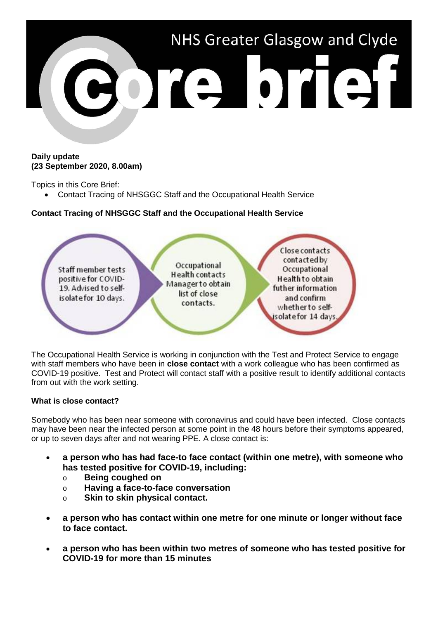

#### **Daily update (23 September 2020, 8.00am)**

Topics in this Core Brief:

• Contact Tracing of NHSGGC Staff and the Occupational Health Service

# **Contact Tracing of NHSGGC Staff and the Occupational Health Service**

**Close contacts** contactedby Occupational Staff member tests Occupational **Health contacts** positive for COVID-Health to obtain Managerto obtain 19. Advised to selffuther information list of close isolatefor 10 days. and confirm contacts. whether to selfisolatefor 14 days,

The Occupational Health Service is working in conjunction with the Test and Protect Service to engage with staff members who have been in **close contact** with a work colleague who has been confirmed as COVID-19 positive. Test and Protect will contact staff with a positive result to identify additional contacts from out with the work setting.

# **What is close contact?**

Somebody who has been near someone with coronavirus and could have been infected. Close contacts may have been near the infected person at some point in the 48 hours before their symptoms appeared, or up to seven days after and not wearing PPE. A close contact is:

- **a person who has had face-to face contact (within one metre), with someone who has tested positive for COVID-19, including:**
	- o **Being coughed on**
	- o **Having a face-to-face conversation**
	- o **Skin to skin physical contact.**
- **a person who has contact within one metre for one minute or longer without face to face contact.**
- **a person who has been within two metres of someone who has tested positive for COVID-19 for more than 15 minutes**